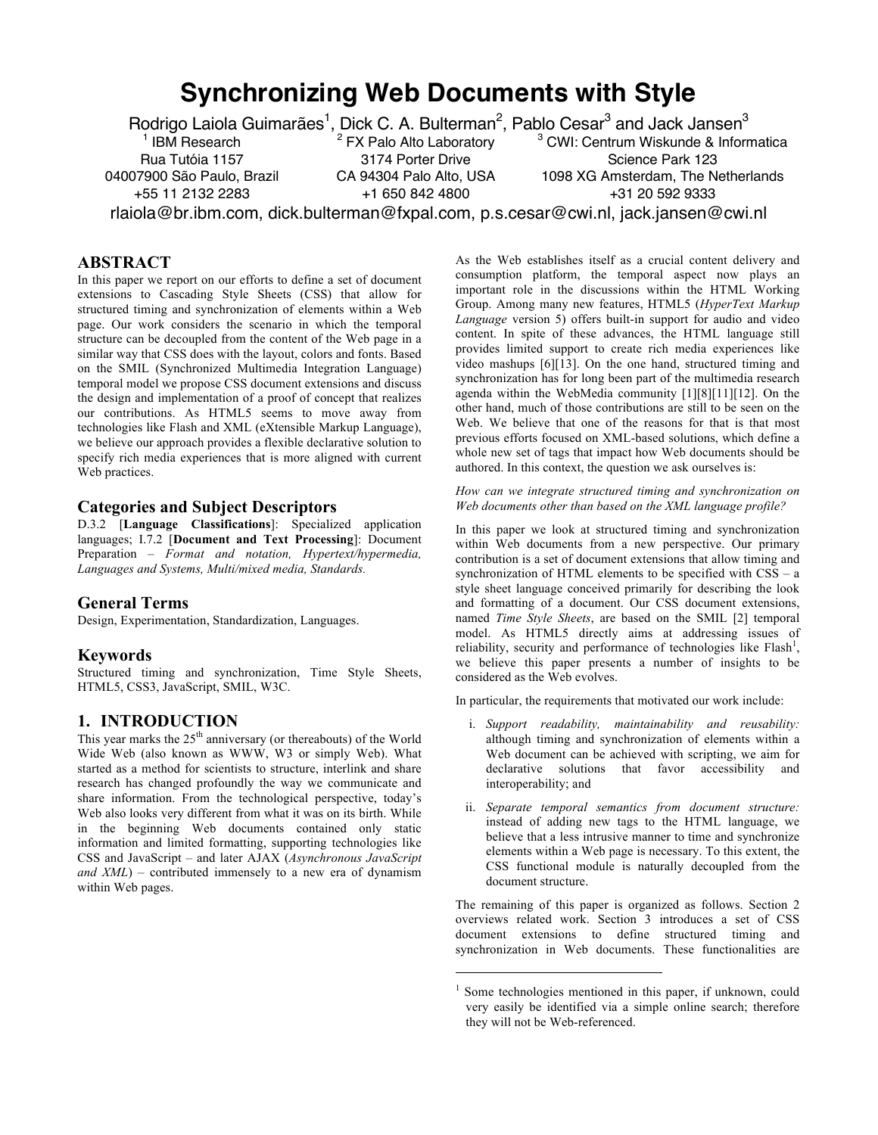# **Synchronizing Web Documents with Style**

Rodrigo Laiola Guimarães<sup>1</sup>, Dick C. A. Bulterman<sup>2</sup>, Pablo Cesar<sup>3</sup> and Jack Jansen<sup>3</sup> **IBM** Research Rua Tutóia 1157 04007900 São Paulo, Brazil +55 11 2132 2283  $2$  FX Palo Alto Laboratory 3174 Porter Drive CA 94304 Palo Alto, USA +1 650 842 4800 <sup>3</sup> CWI: Centrum Wiskunde & Informatica Science Park 123 1098 XG Amsterdam, The Netherlands +31 20 592 9333 rlaiola@br.ibm.com, dick.bulterman@fxpal.com, p.s.cesar@cwi.nl, jack.jansen@cwi.nl

 $\overline{a}$ 

# **ABSTRACT**

In this paper we report on our efforts to define a set of document extensions to Cascading Style Sheets (CSS) that allow for structured timing and synchronization of elements within a Web page. Our work considers the scenario in which the temporal structure can be decoupled from the content of the Web page in a similar way that CSS does with the layout, colors and fonts. Based on the SMIL (Synchronized Multimedia Integration Language) temporal model we propose CSS document extensions and discuss the design and implementation of a proof of concept that realizes our contributions. As HTML5 seems to move away from technologies like Flash and XML (eXtensible Markup Language), we believe our approach provides a flexible declarative solution to specify rich media experiences that is more aligned with current Web practices.

#### **Categories and Subject Descriptors**

D.3.2 [**Language Classifications**]: Specialized application languages; I.7.2 [**Document and Text Processing**]: Document Preparation – *Format and notation, Hypertext/hypermedia, Languages and Systems, Multi/mixed media, Standards.*

# **General Terms**

Design, Experimentation, Standardization, Languages.

#### **Keywords**

Structured timing and synchronization, Time Style Sheets, HTML5, CSS3, JavaScript, SMIL, W3C.

# **1. INTRODUCTION**

This year marks the  $25<sup>th</sup>$  anniversary (or thereabouts) of the World Wide Web (also known as WWW, W3 or simply Web). What started as a method for scientists to structure, interlink and share research has changed profoundly the way we communicate and share information. From the technological perspective, today's Web also looks very different from what it was on its birth. While in the beginning Web documents contained only static information and limited formatting, supporting technologies like CSS and JavaScript – and later AJAX (*Asynchronous JavaScript and XML*) – contributed immensely to a new era of dynamism within Web pages.

As the Web establishes itself as a crucial content delivery and consumption platform, the temporal aspect now plays an important role in the discussions within the HTML Working Group. Among many new features, HTML5 (*HyperText Markup Language* version 5) offers built-in support for audio and video content. In spite of these advances, the HTML language still provides limited support to create rich media experiences like video mashups [6][13]. On the one hand, structured timing and synchronization has for long been part of the multimedia research agenda within the WebMedia community [1][8][11][12]. On the other hand, much of those contributions are still to be seen on the Web. We believe that one of the reasons for that is that most previous efforts focused on XML-based solutions, which define a whole new set of tags that impact how Web documents should be authored. In this context, the question we ask ourselves is:

*How can we integrate structured timing and synchronization on Web documents other than based on the XML language profile?*

In this paper we look at structured timing and synchronization within Web documents from a new perspective. Our primary contribution is a set of document extensions that allow timing and synchronization of HTML elements to be specified with CSS – a style sheet language conceived primarily for describing the look and formatting of a document. Our CSS document extensions, named *Time Style Sheets*, are based on the SMIL [2] temporal model. As HTML5 directly aims at addressing issues of reliability, security and performance of technologies like Flash<sup>1</sup>, we believe this paper presents a number of insights to be considered as the Web evolves.

In particular, the requirements that motivated our work include:

- i. *Support readability, maintainability and reusability:* although timing and synchronization of elements within a Web document can be achieved with scripting, we aim for declarative solutions that favor accessibility and interoperability; and
- ii. *Separate temporal semantics from document structure:* instead of adding new tags to the HTML language, we believe that a less intrusive manner to time and synchronize elements within a Web page is necessary. To this extent, the CSS functional module is naturally decoupled from the document structure.

The remaining of this paper is organized as follows. Section 2 overviews related work. Section 3 introduces a set of CSS document extensions to define structured timing and synchronization in Web documents. These functionalities are

 $1$  Some technologies mentioned in this paper, if unknown, could very easily be identified via a simple online search; therefore they will not be Web-referenced.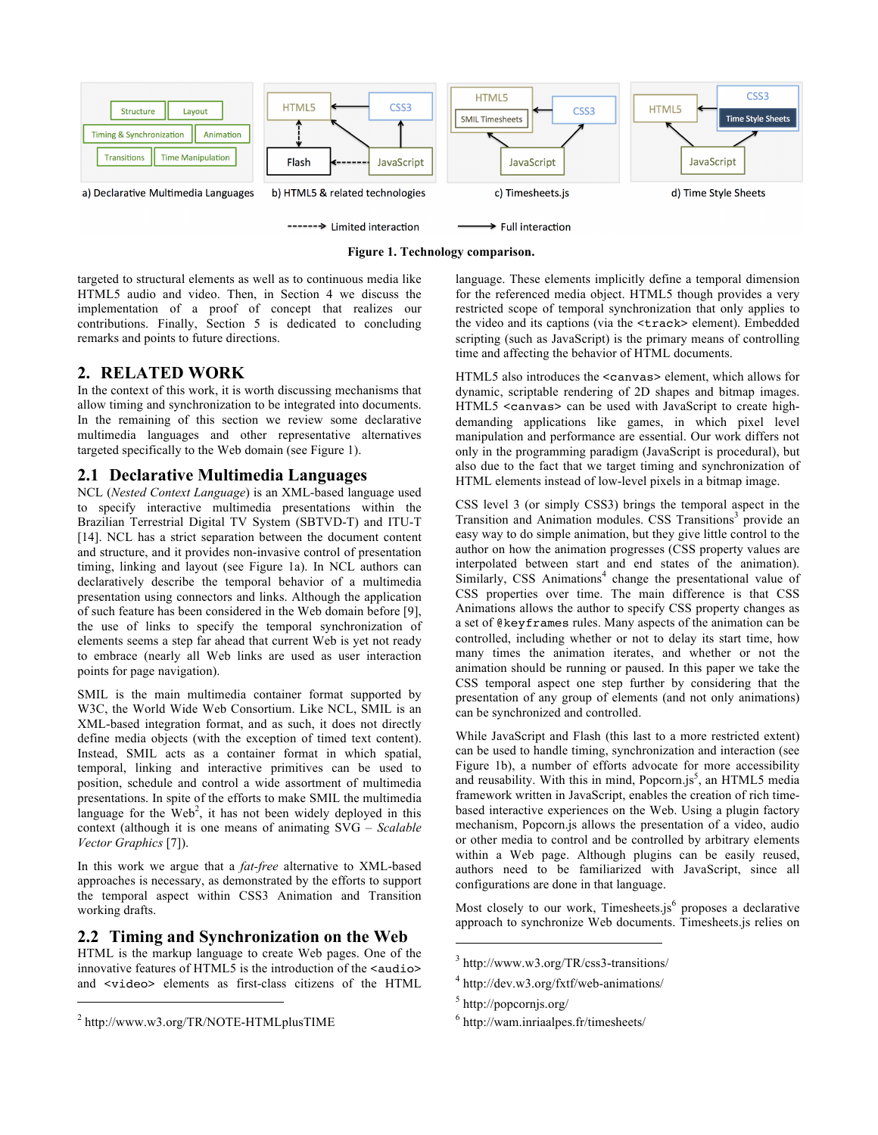



targeted to structural elements as well as to continuous media like HTML5 audio and video. Then, in Section 4 we discuss the implementation of a proof of concept that realizes our contributions. Finally, Section 5 is dedicated to concluding remarks and points to future directions.

# **2. RELATED WORK**

In the context of this work, it is worth discussing mechanisms that allow timing and synchronization to be integrated into documents. In the remaining of this section we review some declarative multimedia languages and other representative alternatives targeted specifically to the Web domain (see Figure 1).

# **2.1 Declarative Multimedia Languages**

NCL (*Nested Context Language*) is an XML-based language used to specify interactive multimedia presentations within the Brazilian Terrestrial Digital TV System (SBTVD-T) and ITU-T [14]. NCL has a strict separation between the document content and structure, and it provides non-invasive control of presentation timing, linking and layout (see Figure 1a). In NCL authors can declaratively describe the temporal behavior of a multimedia presentation using connectors and links. Although the application of such feature has been considered in the Web domain before [9], the use of links to specify the temporal synchronization of elements seems a step far ahead that current Web is yet not ready to embrace (nearly all Web links are used as user interaction points for page navigation).

SMIL is the main multimedia container format supported by W3C, the World Wide Web Consortium. Like NCL, SMIL is an XML-based integration format, and as such, it does not directly define media objects (with the exception of timed text content). Instead, SMIL acts as a container format in which spatial, temporal, linking and interactive primitives can be used to position, schedule and control a wide assortment of multimedia presentations. In spite of the efforts to make SMIL the multimedia language for the  $\text{Web}^2$ , it has not been widely deployed in this context (although it is one means of animating SVG – *Scalable Vector Graphics* [7]).

In this work we argue that a *fat-free* alternative to XML-based approaches is necessary, as demonstrated by the efforts to support the temporal aspect within CSS3 Animation and Transition working drafts.

# **2.2 Timing and Synchronization on the Web**

HTML is the markup language to create Web pages. One of the innovative features of HTML5 is the introduction of the <audio> and <video> elements as first-class citizens of the HTML

j

language. These elements implicitly define a temporal dimension for the referenced media object. HTML5 though provides a very restricted scope of temporal synchronization that only applies to the video and its captions (via the <track> element). Embedded scripting (such as JavaScript) is the primary means of controlling time and affecting the behavior of HTML documents.

HTML5 also introduces the <canvas> element, which allows for dynamic, scriptable rendering of 2D shapes and bitmap images. HTML5 <canvas> can be used with JavaScript to create highdemanding applications like games, in which pixel level manipulation and performance are essential. Our work differs not only in the programming paradigm (JavaScript is procedural), but also due to the fact that we target timing and synchronization of HTML elements instead of low-level pixels in a bitmap image.

CSS level 3 (or simply CSS3) brings the temporal aspect in the Transition and Animation modules. CSS Transitions<sup>3</sup> provide an easy way to do simple animation, but they give little control to the author on how the animation progresses (CSS property values are interpolated between start and end states of the animation). Similarly,  $CSS$  Animations<sup>4</sup> change the presentational value of CSS properties over time. The main difference is that CSS Animations allows the author to specify CSS property changes as a set of @keyframes rules. Many aspects of the animation can be controlled, including whether or not to delay its start time, how many times the animation iterates, and whether or not the animation should be running or paused. In this paper we take the CSS temporal aspect one step further by considering that the presentation of any group of elements (and not only animations) can be synchronized and controlled.

While JavaScript and Flash (this last to a more restricted extent) can be used to handle timing, synchronization and interaction (see Figure 1b), a number of efforts advocate for more accessibility and reusability. With this in mind, Popcorn.js<sup>5</sup>, an HTML5 media framework written in JavaScript, enables the creation of rich timebased interactive experiences on the Web. Using a plugin factory mechanism, Popcorn.js allows the presentation of a video, audio or other media to control and be controlled by arbitrary elements within a Web page. Although plugins can be easily reused, authors need to be familiarized with JavaScript, since all configurations are done in that language.

Most closely to our work, Timesheets.js $<sup>6</sup>$  proposes a declarative</sup> approach to synchronize Web documents. Timesheets.js relies on

 $\overline{a}$ 

<sup>2</sup> http://www.w3.org/TR/NOTE-HTMLplusTIME

<sup>3</sup> http://www.w3.org/TR/css3-transitions/

<sup>4</sup> http://dev.w3.org/fxtf/web-animations/

<sup>5</sup> http://popcornjs.org/

<sup>6</sup> http://wam.inriaalpes.fr/timesheets/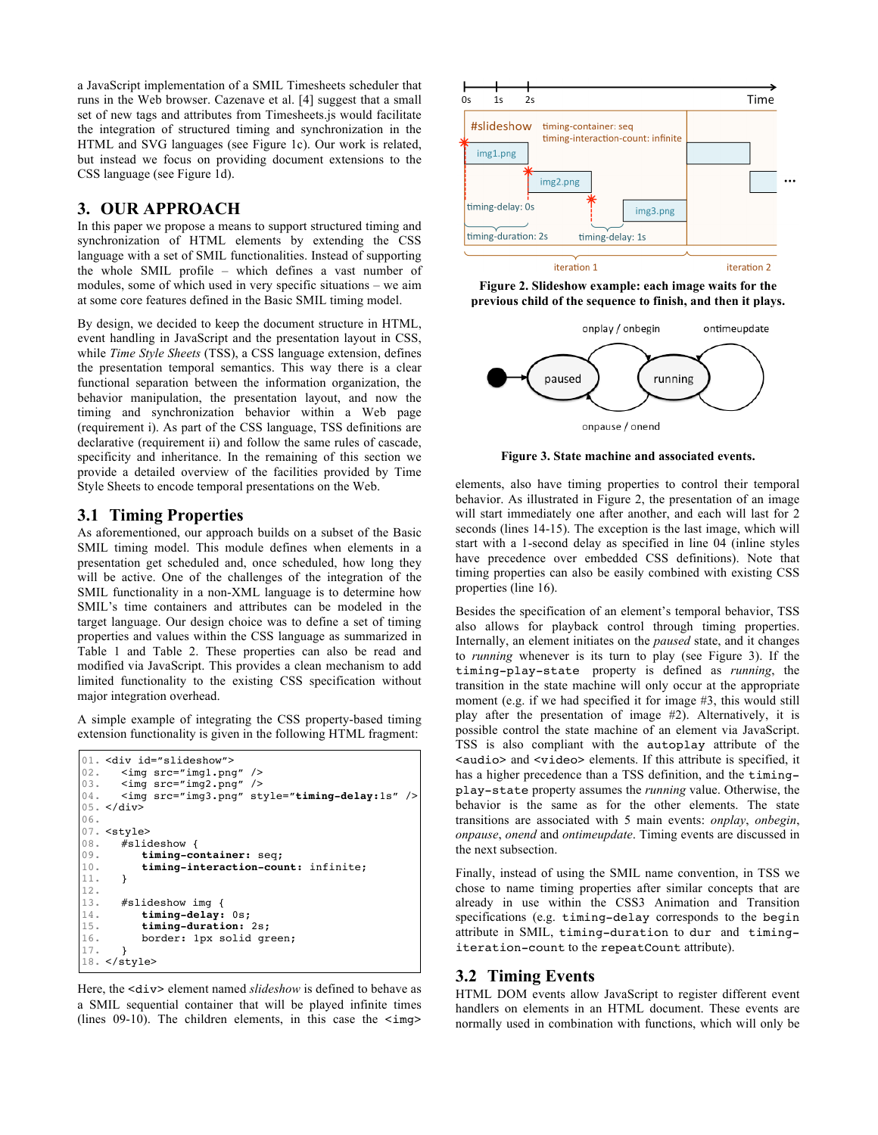a JavaScript implementation of a SMIL Timesheets scheduler that runs in the Web browser. Cazenave et al. [4] suggest that a small set of new tags and attributes from Timesheets.js would facilitate the integration of structured timing and synchronization in the HTML and SVG languages (see Figure 1c). Our work is related, but instead we focus on providing document extensions to the CSS language (see Figure 1d).

# **3. OUR APPROACH**

In this paper we propose a means to support structured timing and synchronization of HTML elements by extending the CSS language with a set of SMIL functionalities. Instead of supporting the whole SMIL profile – which defines a vast number of modules, some of which used in very specific situations – we aim at some core features defined in the Basic SMIL timing model.

By design, we decided to keep the document structure in HTML, event handling in JavaScript and the presentation layout in CSS, while *Time Style Sheets* (TSS), a CSS language extension, defines the presentation temporal semantics. This way there is a clear functional separation between the information organization, the behavior manipulation, the presentation layout, and now the timing and synchronization behavior within a Web page (requirement i). As part of the CSS language, TSS definitions are declarative (requirement ii) and follow the same rules of cascade, specificity and inheritance. In the remaining of this section we provide a detailed overview of the facilities provided by Time Style Sheets to encode temporal presentations on the Web.

# **3.1 Timing Properties**

As aforementioned, our approach builds on a subset of the Basic SMIL timing model. This module defines when elements in a presentation get scheduled and, once scheduled, how long they will be active. One of the challenges of the integration of the SMIL functionality in a non-XML language is to determine how SMIL's time containers and attributes can be modeled in the target language. Our design choice was to define a set of timing properties and values within the CSS language as summarized in Table 1 and Table 2. These properties can also be read and modified via JavaScript. This provides a clean mechanism to add limited functionality to the existing CSS specification without major integration overhead.

A simple example of integrating the CSS property-based timing extension functionality is given in the following HTML fragment:

```
01. < div id="slideshow">
02.
03.
04.
05. </div>
06.
07. <style>
08.
09.
10.
11.
12.
13.
14.
15.
16.
17.
18.
</style>
      <img src="img1.png" />
      \langle \text{img src} = "img2.png" />
      <img src="img3.png" style="timing-delay:1s" />
      #slideshow {
          timing-container: seq;
          timing-interaction-count: infinite;
      }
      #slideshow img {
          timing-delay: 0s;
          timing-duration: 2s;
          border: 1px solid green;
      }
```
Here, the <div> element named *slideshow* is defined to behave as a SMIL sequential container that will be played infinite times (lines  $09-10$ ). The children elements, in this case the  $\langle \text{img}\rangle$ 



**Figure 2. Slideshow example: each image waits for the previous child of the sequence to finish, and then it plays.**



**Figure 3. State machine and associated events.**

elements, also have timing properties to control their temporal behavior. As illustrated in Figure 2, the presentation of an image will start immediately one after another, and each will last for 2 seconds (lines 14-15). The exception is the last image, which will start with a 1-second delay as specified in line 04 (inline styles have precedence over embedded CSS definitions). Note that timing properties can also be easily combined with existing CSS properties (line 16).

Besides the specification of an element's temporal behavior, TSS also allows for playback control through timing properties. Internally, an element initiates on the *paused* state, and it changes to *running* whenever is its turn to play (see Figure 3). If the timing-play-state property is defined as *running*, the transition in the state machine will only occur at the appropriate moment (e.g. if we had specified it for image #3, this would still play after the presentation of image #2). Alternatively, it is possible control the state machine of an element via JavaScript. TSS is also compliant with the autoplay attribute of the <audio> and <video> elements. If this attribute is specified, it has a higher precedence than a TSS definition, and the timingplay-state property assumes the *running* value. Otherwise, the behavior is the same as for the other elements. The state transitions are associated with 5 main events: *onplay*, *onbegin*, *onpause*, *onend* and *ontimeupdate*. Timing events are discussed in the next subsection.

Finally, instead of using the SMIL name convention, in TSS we chose to name timing properties after similar concepts that are already in use within the CSS3 Animation and Transition specifications (e.g. timing-delay corresponds to the begin attribute in SMIL, timing-duration to dur and timingiteration-count to the repeatCount attribute).

# **3.2 Timing Events**

HTML DOM events allow JavaScript to register different event handlers on elements in an HTML document. These events are normally used in combination with functions, which will only be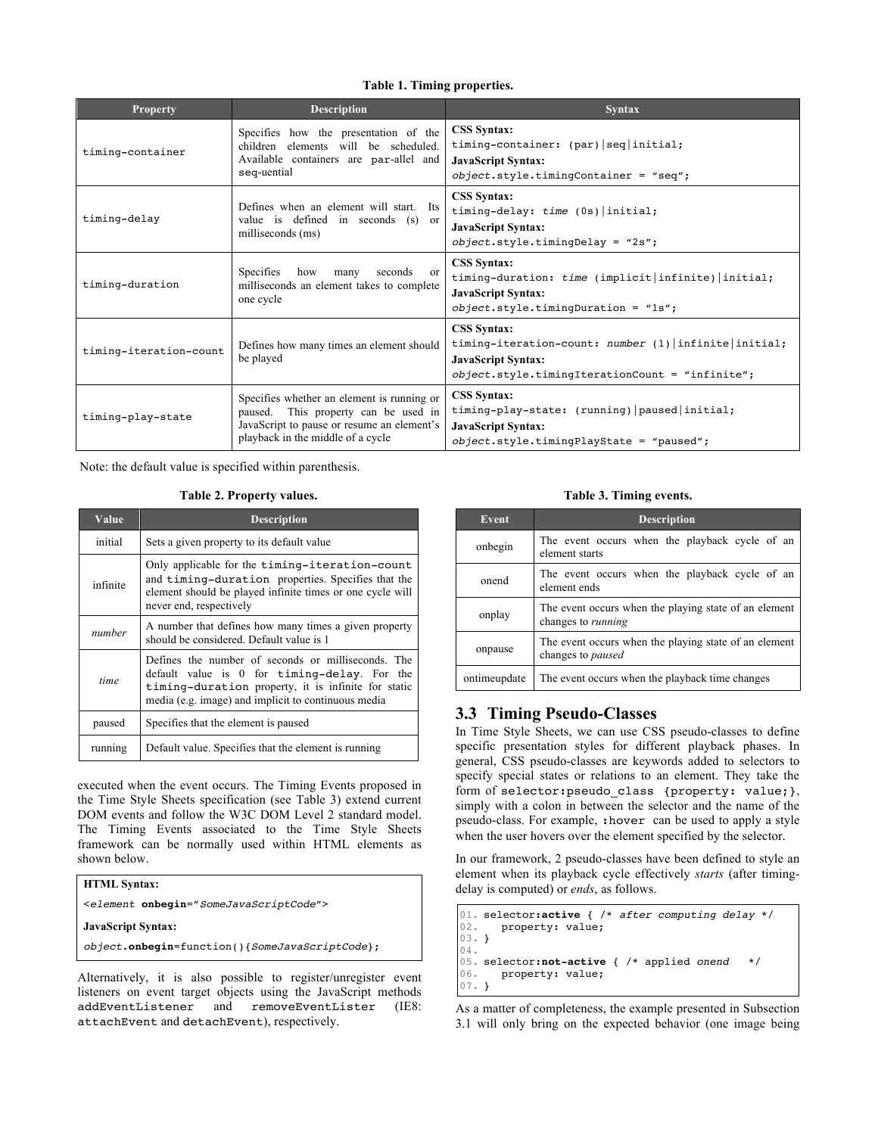#### **Table 1. Timing properties.**

| <b>Property</b>        | <b>Description</b>                                                                                                                                                    | <b>Syntax</b>                                                                                                                                                  |  |
|------------------------|-----------------------------------------------------------------------------------------------------------------------------------------------------------------------|----------------------------------------------------------------------------------------------------------------------------------------------------------------|--|
| timing-container       | Specifies how the presentation of the<br>children elements will be scheduled<br>Available containers are par-allel and<br>seq-uential                                 | <b>CSS Syntax:</b><br>timing-container: (par)   seq   initial;<br><b>JavaScript Syntax:</b><br>$object-style.time \text{Conf} = "seq";$                        |  |
| timing-delay           | Defines when an element will start. Its<br>value is defined in seconds (s) or<br>milliseconds (ms)                                                                    | <b>CSS Syntax:</b><br>timing-delay: time (0s)   initial;<br><b>JavaScript Syntax:</b><br>$object-style.timeDelay = "2s";$                                      |  |
| timing-duration        | <b>Specifies</b><br>seconds<br>how<br>many<br><sub>or</sub><br>milliseconds an element takes to complete<br>one cycle                                                 | <b>CSS Syntax:</b><br>timing-duration: time (implicit infinite) initial;<br><b>JavaScript Syntax:</b><br>$object. style. timingDuration = "ls";$               |  |
| timing-iteration-count | Defines how many times an element should<br>be played                                                                                                                 | <b>CSS Syntax:</b><br>timing-iteration-count: number (1) infinite initial;<br><b>JavaScript Syntax:</b><br>$object. style. timingIterationCount = "infinite";$ |  |
| timing-play-state      | Specifies whether an element is running or<br>paused. This property can be used in<br>JavaScript to pause or resume an element's<br>playback in the middle of a cycle | <b>CSS Syntax:</b><br>timing-play-state: (running)   paused   initial;<br><b>JavaScript Syntax:</b><br>$object-style.time$ PlayState = "paused";               |  |

Note: the default value is specified within parenthesis.

#### **Table 2. Property values.**

| Value       | <b>Description</b>                                                                                                                                                                                               |  |
|-------------|------------------------------------------------------------------------------------------------------------------------------------------------------------------------------------------------------------------|--|
| initial     | Sets a given property to its default value                                                                                                                                                                       |  |
| infinite    | Only applicable for the timing-iteration-count<br>and timing-duration properties. Specifies that the<br>element should be played infinite times or one cycle will<br>never end, respectively                     |  |
| number      | A number that defines how many times a given property<br>should be considered. Default value is 1                                                                                                                |  |
| <i>time</i> | Defines the number of seconds or milliseconds. The<br>default value is 0 for timing-delay. For the<br>timing-duration property, it is infinite for static<br>media (e.g. image) and implicit to continuous media |  |
| paused      | Specifies that the element is paused                                                                                                                                                                             |  |
| running     | Default value. Specifies that the element is running                                                                                                                                                             |  |

executed when the event occurs. The Timing Events proposed in the Time Style Sheets specification (see Table 3) extend current DOM events and follow the W3C DOM Level 2 standard model. The Timing Events associated to the Time Style Sheets framework can be normally used within HTML elements as shown below.

| <b>HTML Syntax:</b>                              |  |
|--------------------------------------------------|--|
| <element onbegin="SomeJavaScriptCode"></element> |  |
| <b>JavaScript Syntax:</b>                        |  |
| object.onbegin=function(){SomeJavaScriptCode};   |  |
|                                                  |  |

Alternatively, it is also possible to register/unregister event listeners on event target objects using the JavaScript methods addEventListener and removeEventLister (IE8: attachEvent and detachEvent), respectively.

**Table 3. Timing events.**

| Event        | <b>Description</b>                                                                 |  |  |
|--------------|------------------------------------------------------------------------------------|--|--|
| onbegin      | The event occurs when the playback cycle of an<br>element starts                   |  |  |
| onend        | The event occurs when the playback cycle of an<br>element ends                     |  |  |
| onplay       | The event occurs when the playing state of an element<br>changes to <i>running</i> |  |  |
| onpause      | The event occurs when the playing state of an element<br>changes to <i>paused</i>  |  |  |
| ontimeupdate | The event occurs when the playback time changes                                    |  |  |

# **3.3 Timing Pseudo-Classes**

In Time Style Sheets, we can use CSS pseudo-classes to define specific presentation styles for different playback phases. In general, CSS pseudo-classes are keywords added to selectors to specify special states or relations to an element. They take the form of selector:pseudo\_class {property: value;}, simply with a colon in between the selector and the name of the pseudo-class. For example, :hover can be used to apply a style when the user hovers over the element specified by the selector.

In our framework, 2 pseudo-classes have been defined to style an element when its playback cycle effectively *starts* (after timingdelay is computed) or *ends*, as follows.

```
01.
selector:active { /* after computing delay */
02.
03.
} 
04.
05.
selector:not-active { /* applied onend */
06.
07.
}
      property: value;
      property: value;
```
As a matter of completeness, the example presented in Subsection 3.1 will only bring on the expected behavior (one image being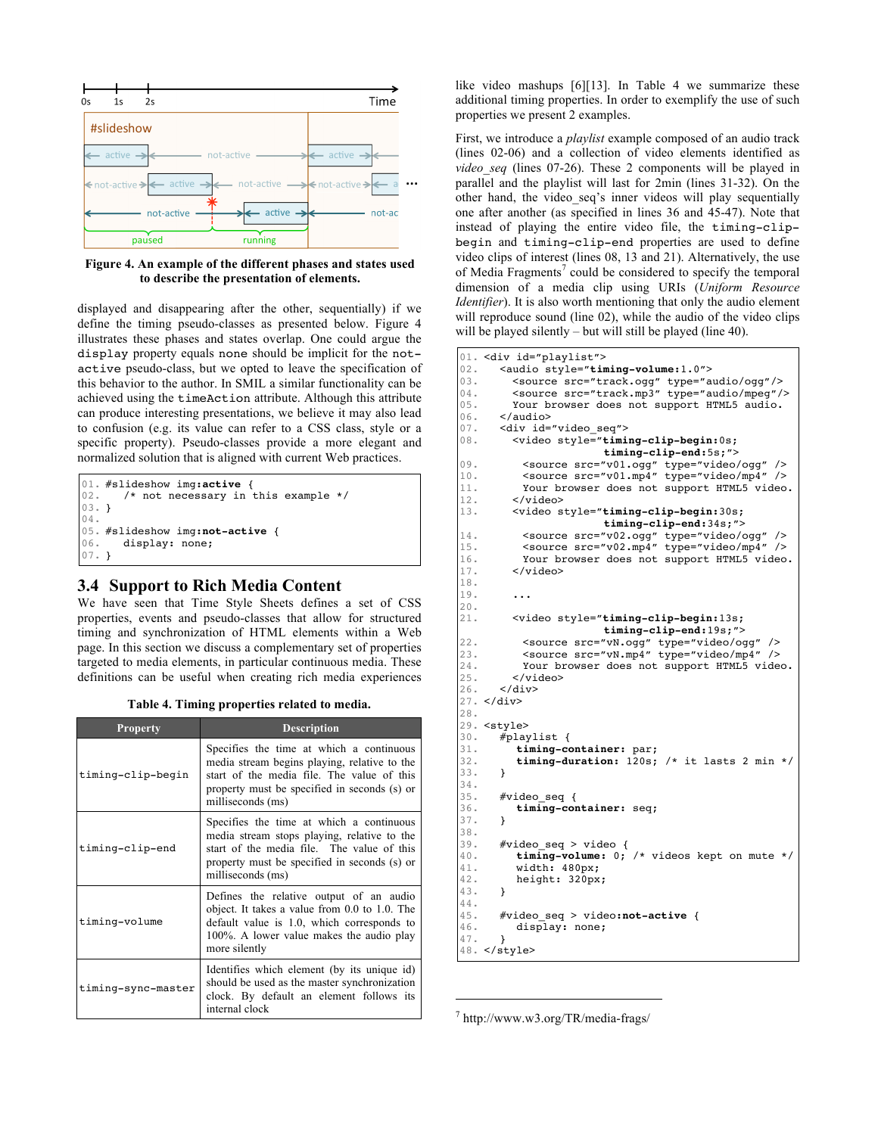

**Figure 4. An example of the different phases and states used to describe the presentation of elements.**

displayed and disappearing after the other, sequentially) if we define the timing pseudo-classes as presented below. Figure 4 illustrates these phases and states overlap. One could argue the display property equals none should be implicit for the notactive pseudo-class, but we opted to leave the specification of this behavior to the author. In SMIL a similar functionality can be achieved using the timeAction attribute. Although this attribute can produce interesting presentations, we believe it may also lead to confusion (e.g. its value can refer to a CSS class, style or a specific property). Pseudo-classes provide a more elegant and normalized solution that is aligned with current Web practices.

```
01.
#slideshow img:active {
02.
03.
} 
04.
05.
#slideshow img:not-active {
06.
07.
}
      /* not necessary in this example */
      display: none;
```
# **3.4 Support to Rich Media Content**

We have seen that Time Style Sheets defines a set of CSS properties, events and pseudo-classes that allow for structured timing and synchronization of HTML elements within a Web page. In this section we discuss a complementary set of properties targeted to media elements, in particular continuous media. These definitions can be useful when creating rich media experiences

|  | Table 4. Timing properties related to media. |  |
|--|----------------------------------------------|--|
|  |                                              |  |

| <b>Property</b>    | <b>Description</b>                                                                                                                                                                                          |
|--------------------|-------------------------------------------------------------------------------------------------------------------------------------------------------------------------------------------------------------|
| timing-clip-begin  | Specifies the time at which a continuous<br>media stream begins playing, relative to the<br>start of the media file. The value of this<br>property must be specified in seconds (s) or<br>milliseconds (ms) |
| timing-clip-end    | Specifies the time at which a continuous<br>media stream stops playing, relative to the<br>start of the media file. The value of this<br>property must be specified in seconds (s) or<br>milliseconds (ms)  |
| timing-volume      | Defines the relative output of an audio<br>object. It takes a value from 0.0 to 1.0. The<br>default value is 1.0, which corresponds to<br>100%. A lower value makes the audio play<br>more silently         |
| timing-sync-master | Identifies which element (by its unique id)<br>should be used as the master synchronization<br>clock. By default an element follows its<br>internal clock                                                   |

like video mashups [6][13]. In Table 4 we summarize these additional timing properties. In order to exemplify the use of such properties we present 2 examples.

First, we introduce a *playlist* example composed of an audio track (lines 02-06) and a collection of video elements identified as *video\_seq* (lines 07-26). These 2 components will be played in parallel and the playlist will last for 2min (lines 31-32). On the other hand, the video seq's inner videos will play sequentially one after another (as specified in lines 36 and 45-47). Note that instead of playing the entire video file, the timing-clipbegin and timing-clip-end properties are used to define video clips of interest (lines 08, 13 and 21). Alternatively, the use of Media Fragments<sup>7</sup> could be considered to specify the temporal dimension of a media clip using URIs (*Uniform Resource Identifier*). It is also worth mentioning that only the audio element will reproduce sound (line 02), while the audio of the video clips will be played silently – but will still be played (line 40).

```
01. <div id="playlist">
02.
03.
04.
05.
06.
07.
08.
09.
10.
11.
12.
13.
14.
15.
16.
17.
18.
19.
20.
21.
22.
23.
24.
25.
26.
27. </div>
28.
29.
<style>
30.
31.
32.
33.
34.
35.
36.
37.
38.
39.
40.
41.
42.
43.
44.
45.
46.
47.
48.
</style>
      <audio style="timing-volume:1.0">
        <source src="track.ogg" type="audio/ogg"/>
        <source src="track.mp3" type="audio/mpeg"/>
        Your browser does not support HTML5 audio.
      </audio>
      <div id="video_seq">
        <video style="timing-clip-begin:0s;
                       timing-clip-end:5s;">
          <source src="v01.ogg" type="video/ogg" />
          <source src="v01.mp4" type="video/mp4" />
          Your browser does not support HTML5 video.
        </video>
        <video style="timing-clip-begin:30s;
                       timing-clip-end:34s;">
          <source src="v02.ogg" type="video/ogg" />
          <source src="v02.mp4" type="video/mp4" />
          Your browser does not support HTML5 video.
        </video>
        ...
        <video style="timing-clip-begin:13s;
                       timing-clip-end:19s;">
          <source src="vN.ogg" type="video/ogg" />
          <source src="vN.mp4" type="video/mp4" />
          Your browser does not support HTML5 video.
        </video>
      </div>
      #playlist {
         timing-container: par;
         timing-duration: 120s; /* it lasts 2 min */
      }
      #video_seq {
         timing-container: seq;
      }
      #video_seq > video {
         timing-volume: 0; /* videos kept on mute */
         width: 480px;
         height: 320px;
      }
      #video_seq > video:not-active {
         display: none;
       }
```
 $7$  http://www.w3.org/TR/media-frags/

 $\overline{a}$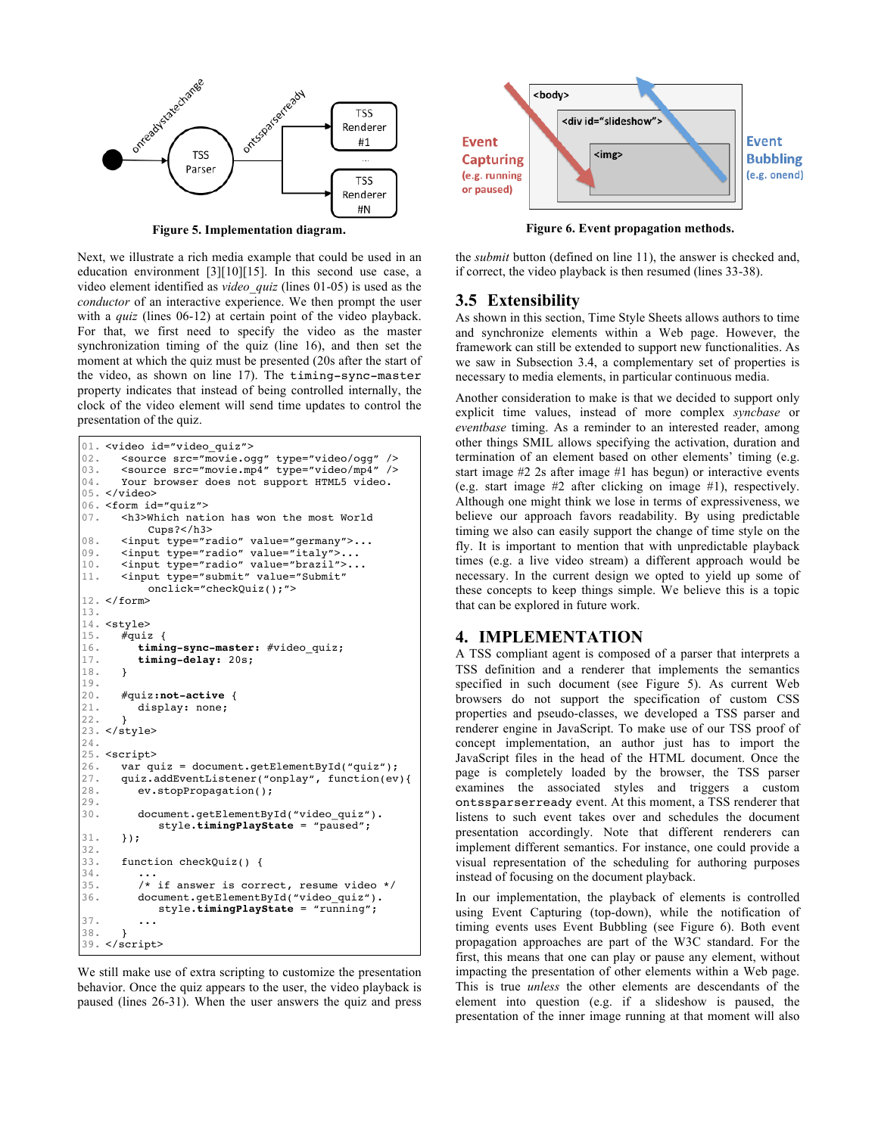

Next, we illustrate a rich media example that could be used in an education environment [3][10][15]. In this second use case, a video element identified as *video\_quiz* (lines 01-05) is used as the *conductor* of an interactive experience. We then prompt the user with a *quiz* (lines 06-12) at certain point of the video playback. For that, we first need to specify the video as the master synchronization timing of the quiz (line 16), and then set the moment at which the quiz must be presented (20s after the start of the video, as shown on line 17). The timing-sync-master property indicates that instead of being controlled internally, the clock of the video element will send time updates to control the presentation of the quiz.

```
01.
<video id="video_quiz">
02.
03.
04.
05. </video>
06. <form id="quiz">
07.
08.
09.
10.
11.
12.
</form>
13.
14.
<style>
15.
16.
17.
18.
19.
20.
21.
22.
23.
</style>
24.
25.
<script>
26.
27.
28.
29.
30.
31.
32.
33.
34.
35.
36.
37.
38.
39.
</script>
      <source src="movie.ogg" type="video/ogg" />
      <source src="movie.mp4" type="video/mp4" />
      Your browser does not support HTML5 video.
      <h3>Which nation has won the most World 
          Cups?</h3>
      <input type="radio" value="germany">...
      <input type="radio" value="italy">...
      <input type="radio" value="brazil">...
      <input type="submit" value="Submit"
          onclick="checkQuiz();">
      \overline{\#}quiz {
         timing-sync-master: #video_quiz;
         timing-delay: 20s;
      }
      #quiz:not-active {
         display: none;
      }
      var quiz = document.getElementById("quiz");
      quiz.addEventListener("onplay", function(ev){
         ev.stopPropagation();
         document.getElementById("video_quiz").
            style.timingPlayState = "paused";
      });
      function checkQuiz() {
         ...
         /* if answer is correct, resume video */
         document.getElementById("video_quiz").
            style.timingPlayState = "running";
         ...
      }
```
We still make use of extra scripting to customize the presentation behavior. Once the quiz appears to the user, the video playback is paused (lines 26-31). When the user answers the quiz and press



**Figure 5. Implementation diagram. Figure 6. Event propagation methods.**

the *submit* button (defined on line 11), the answer is checked and, if correct, the video playback is then resumed (lines 33-38).

# **3.5 Extensibility**

As shown in this section, Time Style Sheets allows authors to time and synchronize elements within a Web page. However, the framework can still be extended to support new functionalities. As we saw in Subsection 3.4, a complementary set of properties is necessary to media elements, in particular continuous media.

Another consideration to make is that we decided to support only explicit time values, instead of more complex *syncbase* or *eventbase* timing. As a reminder to an interested reader, among other things SMIL allows specifying the activation, duration and termination of an element based on other elements' timing (e.g. start image #2 2s after image #1 has begun) or interactive events (e.g. start image #2 after clicking on image #1), respectively. Although one might think we lose in terms of expressiveness, we believe our approach favors readability. By using predictable timing we also can easily support the change of time style on the fly. It is important to mention that with unpredictable playback times (e.g. a live video stream) a different approach would be necessary. In the current design we opted to yield up some of these concepts to keep things simple. We believe this is a topic that can be explored in future work.

# **4. IMPLEMENTATION**

A TSS compliant agent is composed of a parser that interprets a TSS definition and a renderer that implements the semantics specified in such document (see Figure 5). As current Web browsers do not support the specification of custom CSS properties and pseudo-classes, we developed a TSS parser and renderer engine in JavaScript. To make use of our TSS proof of concept implementation, an author just has to import the JavaScript files in the head of the HTML document. Once the page is completely loaded by the browser, the TSS parser examines the associated styles and triggers a custom ontssparserready event. At this moment, a TSS renderer that listens to such event takes over and schedules the document presentation accordingly. Note that different renderers can implement different semantics. For instance, one could provide a visual representation of the scheduling for authoring purposes instead of focusing on the document playback.

In our implementation, the playback of elements is controlled using Event Capturing (top-down), while the notification of timing events uses Event Bubbling (see Figure 6). Both event propagation approaches are part of the W3C standard. For the first, this means that one can play or pause any element, without impacting the presentation of other elements within a Web page. This is true *unless* the other elements are descendants of the element into question (e.g. if a slideshow is paused, the presentation of the inner image running at that moment will also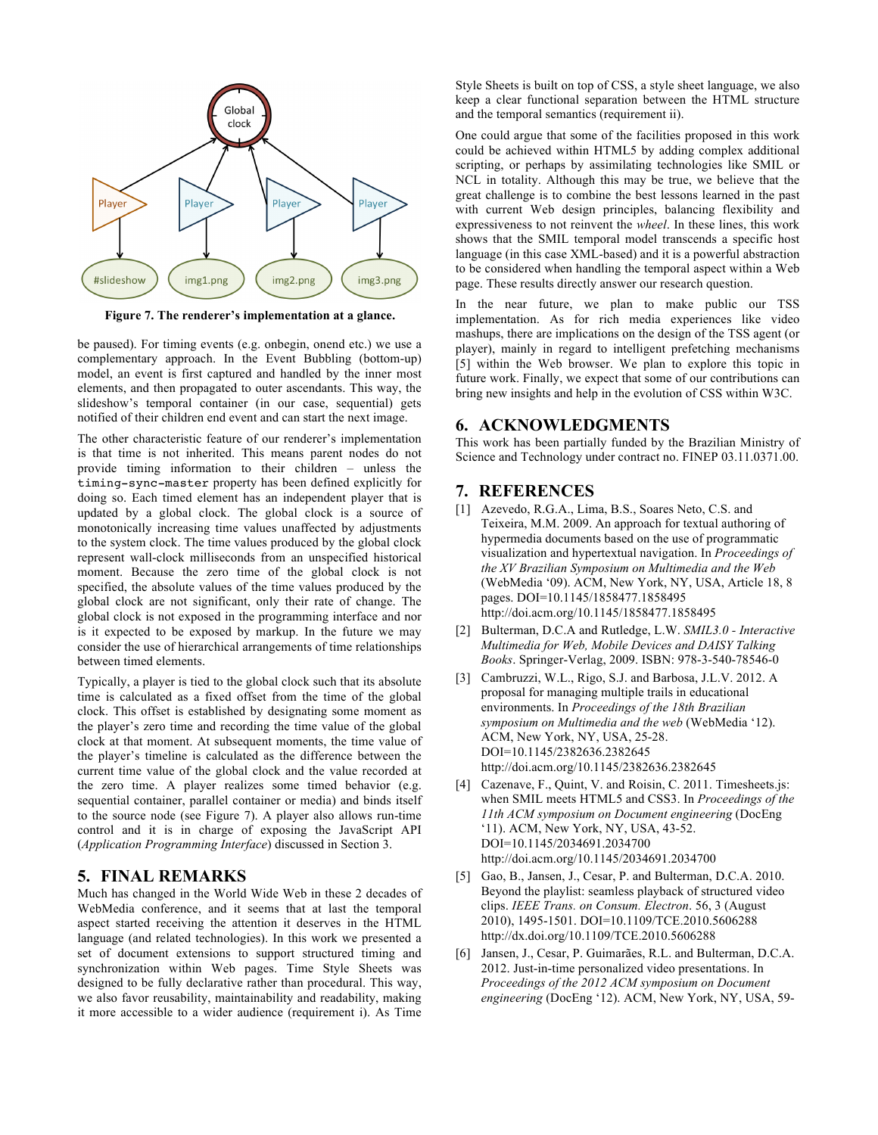

**Figure 7. The renderer's implementation at a glance.**

be paused). For timing events (e.g. onbegin, onend etc.) we use a complementary approach. In the Event Bubbling (bottom-up) model, an event is first captured and handled by the inner most elements, and then propagated to outer ascendants. This way, the slideshow's temporal container (in our case, sequential) gets notified of their children end event and can start the next image.

The other characteristic feature of our renderer's implementation is that time is not inherited. This means parent nodes do not provide timing information to their children – unless the timing-sync-master property has been defined explicitly for doing so. Each timed element has an independent player that is updated by a global clock. The global clock is a source of monotonically increasing time values unaffected by adjustments to the system clock. The time values produced by the global clock represent wall-clock milliseconds from an unspecified historical moment. Because the zero time of the global clock is not specified, the absolute values of the time values produced by the global clock are not significant, only their rate of change. The global clock is not exposed in the programming interface and nor is it expected to be exposed by markup. In the future we may consider the use of hierarchical arrangements of time relationships between timed elements.

Typically, a player is tied to the global clock such that its absolute time is calculated as a fixed offset from the time of the global clock. This offset is established by designating some moment as the player's zero time and recording the time value of the global clock at that moment. At subsequent moments, the time value of the player's timeline is calculated as the difference between the current time value of the global clock and the value recorded at the zero time. A player realizes some timed behavior (e.g. sequential container, parallel container or media) and binds itself to the source node (see Figure 7). A player also allows run-time control and it is in charge of exposing the JavaScript API (*Application Programming Interface*) discussed in Section 3.

# **5. FINAL REMARKS**

Much has changed in the World Wide Web in these 2 decades of WebMedia conference, and it seems that at last the temporal aspect started receiving the attention it deserves in the HTML language (and related technologies). In this work we presented a set of document extensions to support structured timing and synchronization within Web pages. Time Style Sheets was designed to be fully declarative rather than procedural. This way, we also favor reusability, maintainability and readability, making it more accessible to a wider audience (requirement i). As Time

Style Sheets is built on top of CSS, a style sheet language, we also keep a clear functional separation between the HTML structure and the temporal semantics (requirement ii).

One could argue that some of the facilities proposed in this work could be achieved within HTML5 by adding complex additional scripting, or perhaps by assimilating technologies like SMIL or NCL in totality. Although this may be true, we believe that the great challenge is to combine the best lessons learned in the past with current Web design principles, balancing flexibility and expressiveness to not reinvent the *wheel*. In these lines, this work shows that the SMIL temporal model transcends a specific host language (in this case XML-based) and it is a powerful abstraction to be considered when handling the temporal aspect within a Web page. These results directly answer our research question.

In the near future, we plan to make public our TSS implementation. As for rich media experiences like video mashups, there are implications on the design of the TSS agent (or player), mainly in regard to intelligent prefetching mechanisms [5] within the Web browser. We plan to explore this topic in future work. Finally, we expect that some of our contributions can bring new insights and help in the evolution of CSS within W3C.

#### **6. ACKNOWLEDGMENTS**

This work has been partially funded by the Brazilian Ministry of Science and Technology under contract no. FINEP 03.11.0371.00.

#### **7. REFERENCES**

- [1] Azevedo, R.G.A., Lima, B.S., Soares Neto, C.S. and Teixeira, M.M. 2009. An approach for textual authoring of hypermedia documents based on the use of programmatic visualization and hypertextual navigation. In *Proceedings of the XV Brazilian Symposium on Multimedia and the Web*  (WebMedia '09). ACM, New York, NY, USA, Article 18, 8 pages. DOI=10.1145/1858477.1858495 http://doi.acm.org/10.1145/1858477.1858495
- [2] Bulterman, D.C.A and Rutledge, L.W. *SMIL3.0 - Interactive Multimedia for Web, Mobile Devices and DAISY Talking Books*. Springer-Verlag, 2009. ISBN: 978-3-540-78546-0
- [3] Cambruzzi, W.L., Rigo, S.J. and Barbosa, J.L.V. 2012. A proposal for managing multiple trails in educational environments. In *Proceedings of the 18th Brazilian symposium on Multimedia and the web* (WebMedia '12). ACM, New York, NY, USA, 25-28. DOI=10.1145/2382636.2382645 http://doi.acm.org/10.1145/2382636.2382645
- [4] Cazenave, F., Quint, V. and Roisin, C. 2011. Timesheets.js: when SMIL meets HTML5 and CSS3. In *Proceedings of the 11th ACM symposium on Document engineering* (DocEng '11). ACM, New York, NY, USA, 43-52. DOI=10.1145/2034691.2034700 http://doi.acm.org/10.1145/2034691.2034700
- [5] Gao, B., Jansen, J., Cesar, P. and Bulterman, D.C.A. 2010. Beyond the playlist: seamless playback of structured video clips. *IEEE Trans. on Consum. Electron*. 56, 3 (August 2010), 1495-1501. DOI=10.1109/TCE.2010.5606288 http://dx.doi.org/10.1109/TCE.2010.5606288
- [6] Jansen, J., Cesar, P. Guimarães, R.L. and Bulterman, D.C.A. 2012. Just-in-time personalized video presentations. In *Proceedings of the 2012 ACM symposium on Document engineering* (DocEng '12). ACM, New York, NY, USA, 59-